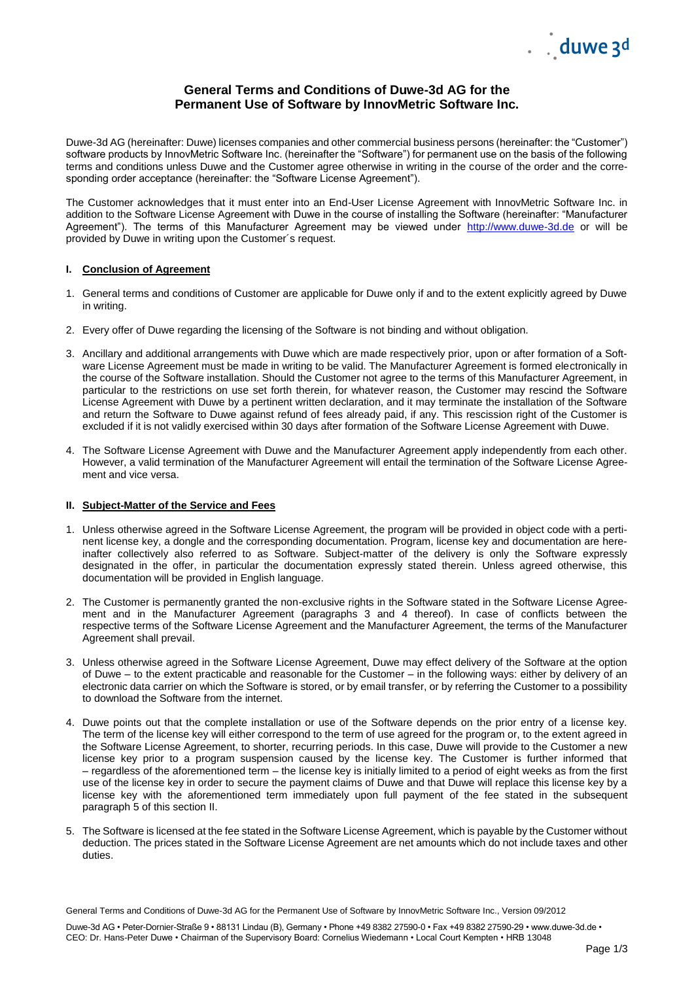

# **General Terms and Conditions of Duwe-3d AG for the Permanent Use of Software by InnovMetric Software Inc.**

Duwe-3d AG (hereinafter: Duwe) licenses companies and other commercial business persons (hereinafter: the "Customer") software products by InnovMetric Software Inc. (hereinafter the "Software") for permanent use on the basis of the following terms and conditions unless Duwe and the Customer agree otherwise in writing in the course of the order and the corresponding order acceptance (hereinafter: the "Software License Agreement").

The Customer acknowledges that it must enter into an End-User License Agreement with InnovMetric Software Inc. in addition to the Software License Agreement with Duwe in the course of installing the Software (hereinafter: "Manufacturer Agreement"). The terms of this Manufacturer Agreement may be viewed under [http://www.duwe-3d.de](http://www.duwe-3d.de/) or will be provided by Duwe in writing upon the Customer´s request.

#### **I. Conclusion of Agreement**

- 1. General terms and conditions of Customer are applicable for Duwe only if and to the extent explicitly agreed by Duwe in writing.
- 2. Every offer of Duwe regarding the licensing of the Software is not binding and without obligation.
- 3. Ancillary and additional arrangements with Duwe which are made respectively prior, upon or after formation of a Software License Agreement must be made in writing to be valid. The Manufacturer Agreement is formed electronically in the course of the Software installation. Should the Customer not agree to the terms of this Manufacturer Agreement, in particular to the restrictions on use set forth therein, for whatever reason, the Customer may rescind the Software License Agreement with Duwe by a pertinent written declaration, and it may terminate the installation of the Software and return the Software to Duwe against refund of fees already paid, if any. This rescission right of the Customer is excluded if it is not validly exercised within 30 days after formation of the Software License Agreement with Duwe.
- 4. The Software License Agreement with Duwe and the Manufacturer Agreement apply independently from each other. However, a valid termination of the Manufacturer Agreement will entail the termination of the Software License Agreement and vice versa.

#### **II. Subject-Matter of the Service and Fees**

- 1. Unless otherwise agreed in the Software License Agreement, the program will be provided in object code with a pertinent license key, a dongle and the corresponding documentation. Program, license key and documentation are hereinafter collectively also referred to as Software. Subject-matter of the delivery is only the Software expressly designated in the offer, in particular the documentation expressly stated therein. Unless agreed otherwise, this documentation will be provided in English language.
- 2. The Customer is permanently granted the non-exclusive rights in the Software stated in the Software License Agreement and in the Manufacturer Agreement (paragraphs 3 and 4 thereof). In case of conflicts between the respective terms of the Software License Agreement and the Manufacturer Agreement, the terms of the Manufacturer Agreement shall prevail.
- 3. Unless otherwise agreed in the Software License Agreement, Duwe may effect delivery of the Software at the option of Duwe – to the extent practicable and reasonable for the Customer – in the following ways: either by delivery of an electronic data carrier on which the Software is stored, or by email transfer, or by referring the Customer to a possibility to download the Software from the internet.
- 4. Duwe points out that the complete installation or use of the Software depends on the prior entry of a license key. The term of the license key will either correspond to the term of use agreed for the program or, to the extent agreed in the Software License Agreement, to shorter, recurring periods. In this case, Duwe will provide to the Customer a new license key prior to a program suspension caused by the license key. The Customer is further informed that – regardless of the aforementioned term – the license key is initially limited to a period of eight weeks as from the first use of the license key in order to secure the payment claims of Duwe and that Duwe will replace this license key by a license key with the aforementioned term immediately upon full payment of the fee stated in the subsequent paragraph 5 of this section II.
- 5. The Software is licensed at the fee stated in the Software License Agreement, which is payable by the Customer without deduction. The prices stated in the Software License Agreement are net amounts which do not include taxes and other duties.

General Terms and Conditions of Duwe-3d AG for the Permanent Use of Software by InnovMetric Software Inc., Version 09/2012

Duwe-3d AG • Peter-Dornier-Straße 9 • 88131 Lindau (B), Germany • Phone +49 8382 27590-0 • Fax +49 8382 27590-29 • www.duwe-3d.de • CEO: Dr. Hans-Peter Duwe • Chairman of the Supervisory Board: Cornelius Wiedemann • Local Court Kempten • HRB 13048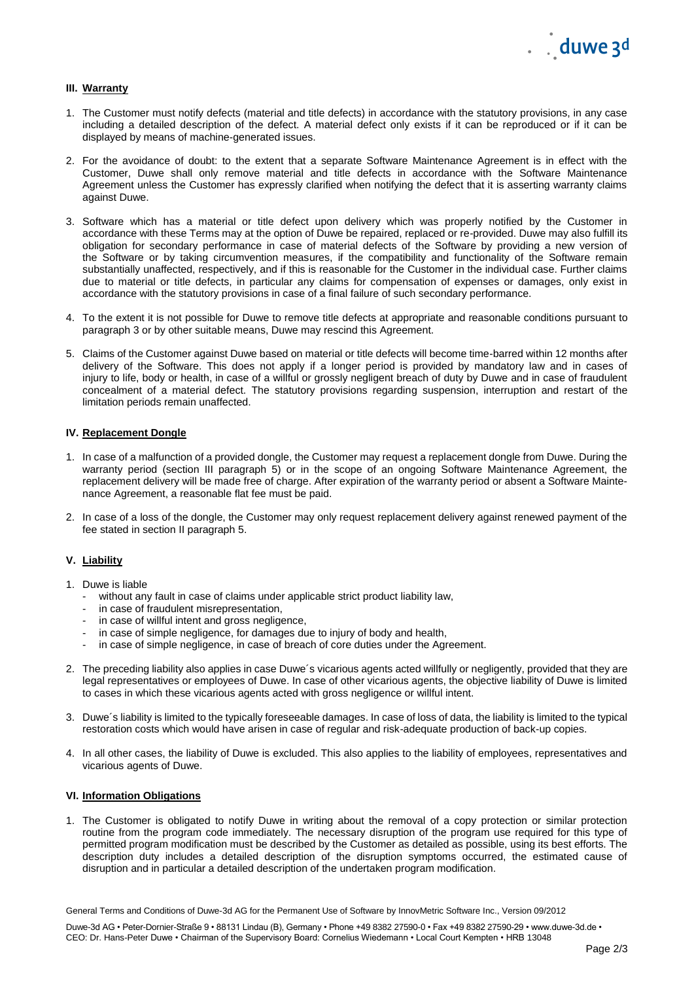## **III. Warranty**

- 1. The Customer must notify defects (material and title defects) in accordance with the statutory provisions, in any case including a detailed description of the defect. A material defect only exists if it can be reproduced or if it can be displayed by means of machine-generated issues.
- 2. For the avoidance of doubt: to the extent that a separate Software Maintenance Agreement is in effect with the Customer, Duwe shall only remove material and title defects in accordance with the Software Maintenance Agreement unless the Customer has expressly clarified when notifying the defect that it is asserting warranty claims against Duwe.
- 3. Software which has a material or title defect upon delivery which was properly notified by the Customer in accordance with these Terms may at the option of Duwe be repaired, replaced or re-provided. Duwe may also fulfill its obligation for secondary performance in case of material defects of the Software by providing a new version of the Software or by taking circumvention measures, if the compatibility and functionality of the Software remain substantially unaffected, respectively, and if this is reasonable for the Customer in the individual case. Further claims due to material or title defects, in particular any claims for compensation of expenses or damages, only exist in accordance with the statutory provisions in case of a final failure of such secondary performance.
- 4. To the extent it is not possible for Duwe to remove title defects at appropriate and reasonable conditions pursuant to paragraph 3 or by other suitable means, Duwe may rescind this Agreement.
- 5. Claims of the Customer against Duwe based on material or title defects will become time-barred within 12 months after delivery of the Software. This does not apply if a longer period is provided by mandatory law and in cases of injury to life, body or health, in case of a willful or grossly negligent breach of duty by Duwe and in case of fraudulent concealment of a material defect. The statutory provisions regarding suspension, interruption and restart of the limitation periods remain unaffected.

## **IV. Replacement Dongle**

- 1. In case of a malfunction of a provided dongle, the Customer may request a replacement dongle from Duwe. During the warranty period (section III paragraph 5) or in the scope of an ongoing Software Maintenance Agreement, the replacement delivery will be made free of charge. After expiration of the warranty period or absent a Software Maintenance Agreement, a reasonable flat fee must be paid.
- 2. In case of a loss of the dongle, the Customer may only request replacement delivery against renewed payment of the fee stated in section II paragraph 5.

# **V. Liability**

- 1. Duwe is liable
	- without any fault in case of claims under applicable strict product liability law,
	- in case of fraudulent misrepresentation,
	- in case of willful intent and gross negligence,
	- in case of simple negligence, for damages due to injury of body and health,
	- in case of simple negligence, in case of breach of core duties under the Agreement.
- 2. The preceding liability also applies in case Duwe´s vicarious agents acted willfully or negligently, provided that they are legal representatives or employees of Duwe. In case of other vicarious agents, the objective liability of Duwe is limited to cases in which these vicarious agents acted with gross negligence or willful intent.
- 3. Duwe´s liability is limited to the typically foreseeable damages. In case of loss of data, the liability is limited to the typical restoration costs which would have arisen in case of regular and risk-adequate production of back-up copies.
- 4. In all other cases, the liability of Duwe is excluded. This also applies to the liability of employees, representatives and vicarious agents of Duwe.

## **VI. Information Obligations**

1. The Customer is obligated to notify Duwe in writing about the removal of a copy protection or similar protection routine from the program code immediately. The necessary disruption of the program use required for this type of permitted program modification must be described by the Customer as detailed as possible, using its best efforts. The description duty includes a detailed description of the disruption symptoms occurred, the estimated cause of disruption and in particular a detailed description of the undertaken program modification.

General Terms and Conditions of Duwe-3d AG for the Permanent Use of Software by InnovMetric Software Inc., Version 09/2012

Duwe-3d AG • Peter-Dornier-Straße 9 • 88131 Lindau (B), Germany • Phone +49 8382 27590-0 • Fax +49 8382 27590-29 • www.duwe-3d.de • CEO: Dr. Hans-Peter Duwe • Chairman of the Supervisory Board: Cornelius Wiedemann • Local Court Kempten • HRB 13048